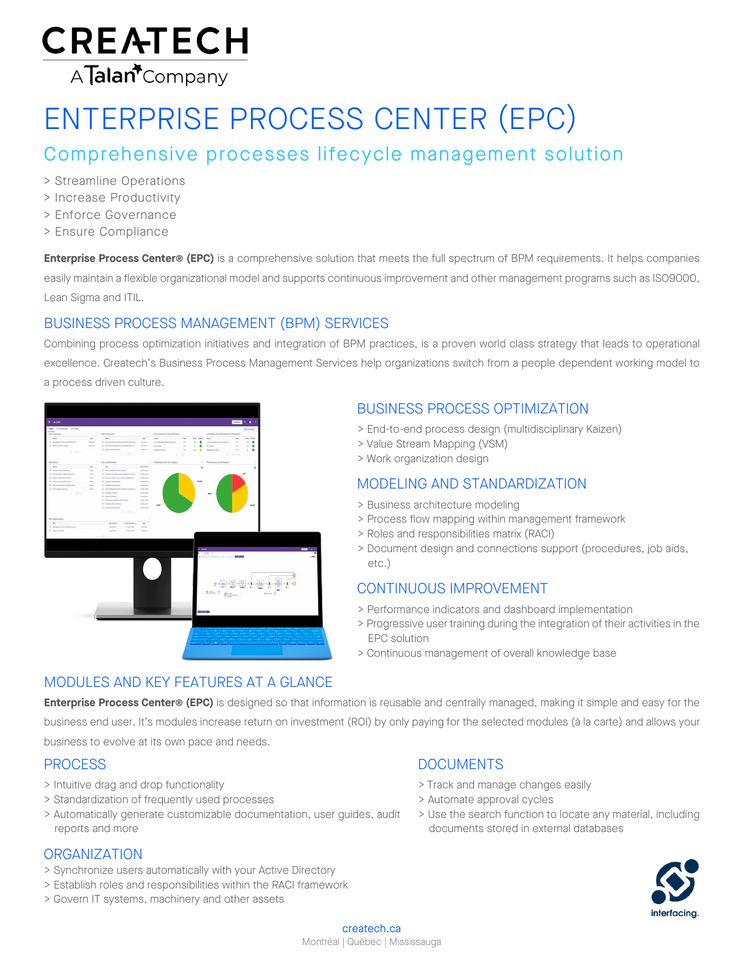

# ENTERPRISE PROCESS CENTER (EPC)

# Comprehensive processes lifecycle management solution

- > Streamline Operations
- > Increase Productivity
- > Enforce Governance
- > Ensure Compliance

**Enterprise Process Center® (EPC)** is a comprehensive solution that meets the full spectrum of BPM requirements. It helps companies easily maintain a flexible organizational model and supports continuous improvement and other management programs such as ISO9000, Lean Sigma and ITIL.

# BUSINESS PROCESS MANAGEMENT (BPM) SERVICES

Combining process optimization initiatives and integration of BPM practices, is a proven world class strategy that leads to operational excellence. Createch's Business Process Management Services help organizations switch from a people dependent working model to a process driven culture.



# BUSINESS PROCESS OPTIMIZATION

- > End-to-end process design (multidisciplinary Kaizen)
- > Value Stream Mapping (VSM)
- > Work organization design

# MODELING AND STANDARDIZATION

- > Business architecture modeling
- > Process flow mapping within management framework
- > Roles and responsibilities matrix (RACI)
- > Document design and connections support (procedures, job aids, etc.)

## CONTINUOUS IMPROVEMENT

- > Performance indicators and dashboard implementation
- > Progressive user training during the integration of their activities in the EPC solution
- > Continuous management of overall knowledge base

## MODULES AND KEY FEATURES AT A GLANCE

**Enterprise Process Center® (EPC)** is designed so that information is reusable and centrally managed, making it simple and easy for the business end user. It's modules increase return on investment (ROI) by only paying for the selected modules (à la carte) and allows your business to evolve at its own pace and needs.

## **PROCESS**

- > Intuitive drag and drop functionality
- > Standardization of frequently used processes
- > Automatically generate customizable documentation, user guides, audit reports and more

#### **ORGANIZATION**

- > Synchronize users automatically with your Active Directory
- > Establish roles and responsibilities within the RACI framework
- > Govern IT systems, machinery and other assets

# DOCUMENTS

- > Track and manage changes easily
- > Automate approval cycles
- > Use the search function to locate any material, including documents stored in external databases